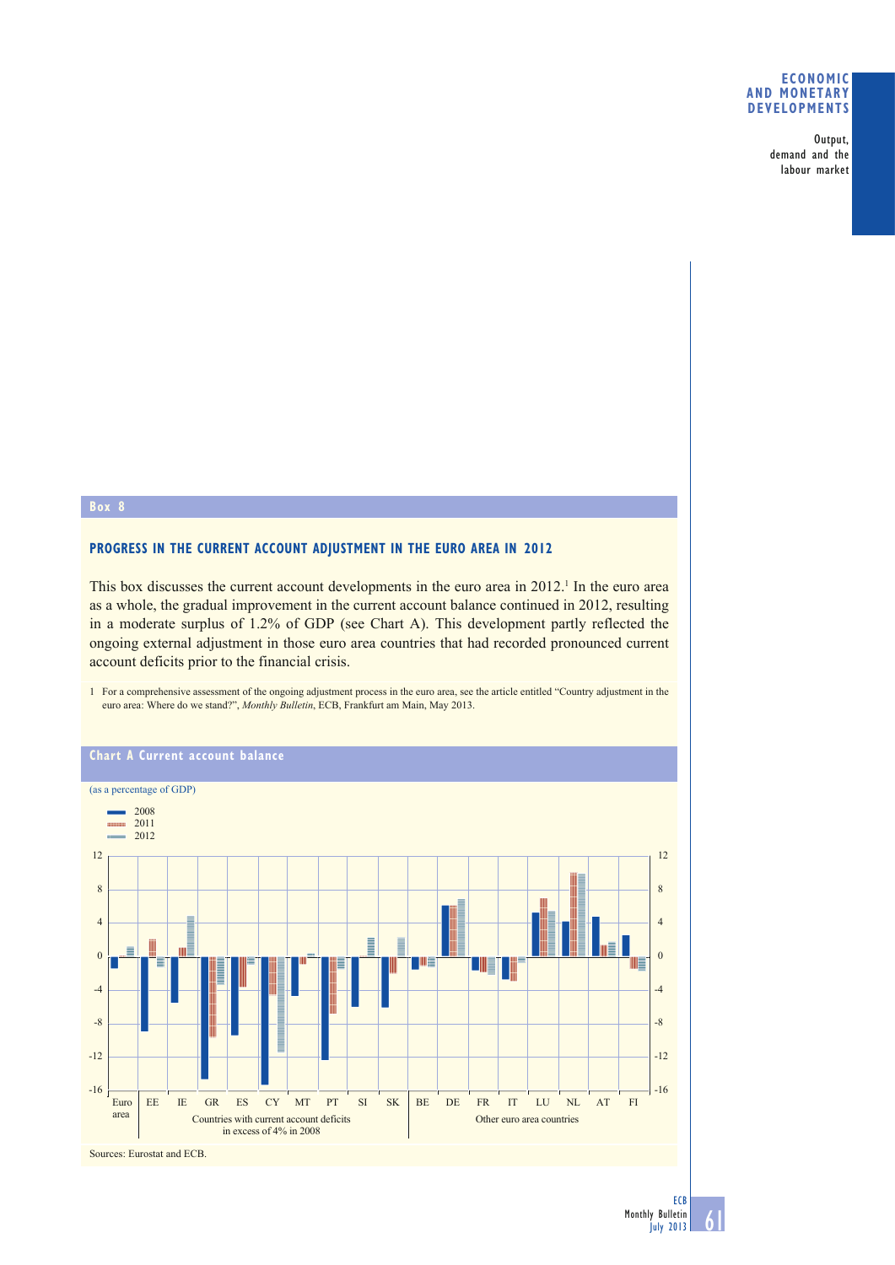## **ECONOMIC AND MONETARY DEVELOPMENTS**

Output, demand and the labour market

## **Box 8**

## **PROGRESS IN THE CURRENT ACCOUNT ADJUSTMENT IN THE EURO AREA IN 2012**

This box discusses the current account developments in the euro area in  $2012<sup>1</sup>$  In the euro area as a whole, the gradual improvement in the current account balance continued in 2012, resulting in a moderate surplus of 1.2% of GDP (see Chart A). This development partly reflected the ongoing external adjustment in those euro area countries that had recorded pronounced current account deficits prior to the financial crisis.

1 For a comprehensive assessment of the ongoing adjustment process in the euro area, see the article entitled "Country adjustment in the euro area: Where do we stand?", *Monthly Bulletin*, ECB, Frankfurt am Main, May 2013.



61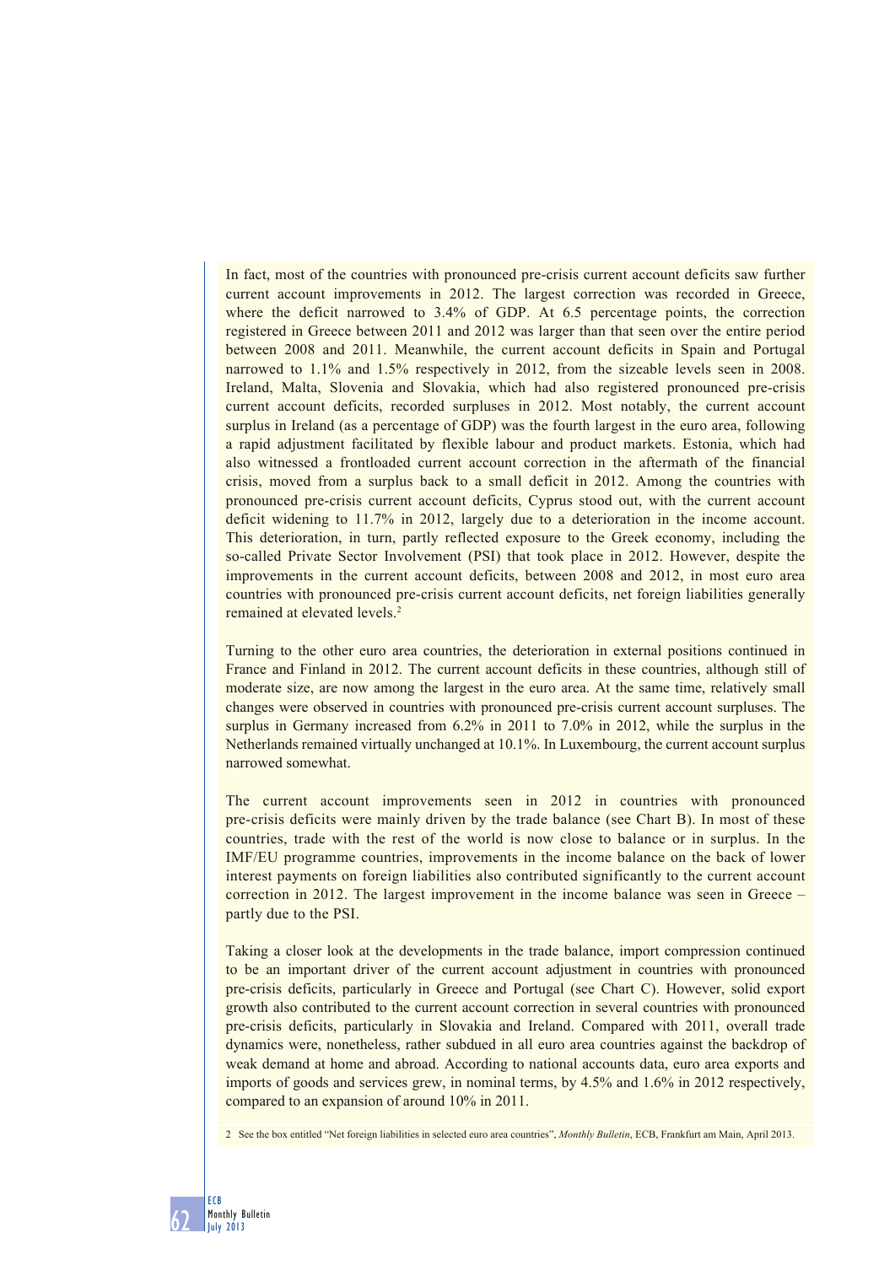In fact, most of the countries with pronounced pre-crisis current account deficits saw further current account improvements in 2012. The largest correction was recorded in Greece, where the deficit narrowed to 3.4% of GDP. At 6.5 percentage points, the correction registered in Greece between 2011 and 2012 was larger than that seen over the entire period between 2008 and 2011. Meanwhile, the current account deficits in Spain and Portugal narrowed to 1.1% and 1.5% respectively in 2012, from the sizeable levels seen in 2008. Ireland, Malta, Slovenia and Slovakia, which had also registered pronounced pre-crisis current account deficits, recorded surpluses in 2012. Most notably, the current account surplus in Ireland (as a percentage of GDP) was the fourth largest in the euro area, following a rapid adjustment facilitated by flexible labour and product markets. Estonia, which had also witnessed a frontloaded current account correction in the aftermath of the financial crisis, moved from a surplus back to a small deficit in 2012. Among the countries with pronounced pre-crisis current account deficits, Cyprus stood out, with the current account deficit widening to 11.7% in 2012, largely due to a deterioration in the income account. This deterioration, in turn, partly reflected exposure to the Greek economy, including the so-called Private Sector Involvement (PSI) that took place in 2012. However, despite the improvements in the current account deficits, between 2008 and 2012, in most euro area countries with pronounced pre-crisis current account deficits, net foreign liabilities generally remained at elevated levels.<sup>2</sup>

Turning to the other euro area countries, the deterioration in external positions continued in France and Finland in 2012. The current account deficits in these countries, although still of moderate size, are now among the largest in the euro area. At the same time, relatively small changes were observed in countries with pronounced pre-crisis current account surpluses. The surplus in Germany increased from 6.2% in 2011 to 7.0% in 2012, while the surplus in the Netherlands remained virtually unchanged at 10.1%. In Luxembourg, the current account surplus narrowed somewhat.

The current account improvements seen in 2012 in countries with pronounced pre-crisis deficits were mainly driven by the trade balance (see Chart B). In most of these countries, trade with the rest of the world is now close to balance or in surplus. In the IMF/EU programme countries, improvements in the income balance on the back of lower interest payments on foreign liabilities also contributed significantly to the current account correction in 2012. The largest improvement in the income balance was seen in Greece – partly due to the PSI.

Taking a closer look at the developments in the trade balance, import compression continued to be an important driver of the current account adjustment in countries with pronounced pre-crisis deficits, particularly in Greece and Portugal (see Chart C). However, solid export growth also contributed to the current account correction in several countries with pronounced pre-crisis deficits, particularly in Slovakia and Ireland. Compared with 2011, overall trade dynamics were, nonetheless, rather subdued in all euro area countries against the backdrop of weak demand at home and abroad. According to national accounts data, euro area exports and imports of goods and services grew, in nominal terms, by 4.5% and 1.6% in 2012 respectively, compared to an expansion of around 10% in 2011.

2 See the box entitled "Net foreign liabilities in selected euro area countries", *Monthly Bulletin*, ECB, Frankfurt am Main, April 2013.

62

ECB Monthly Bulletin July 2013